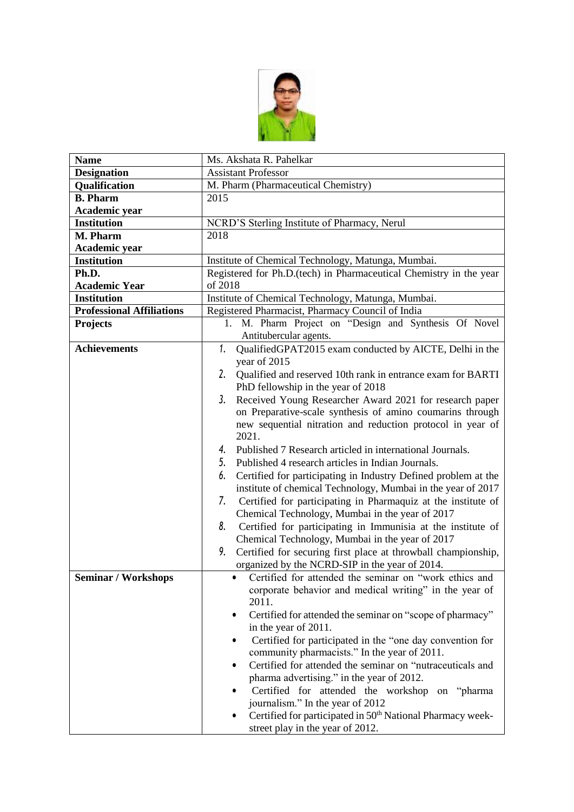

| <b>Name</b>                      | Ms. Akshata R. Pahelkar                                                |
|----------------------------------|------------------------------------------------------------------------|
| <b>Designation</b>               | <b>Assistant Professor</b>                                             |
| Qualification                    | M. Pharm (Pharmaceutical Chemistry)                                    |
| <b>B.</b> Pharm                  | 2015                                                                   |
| Academic year                    |                                                                        |
| <b>Institution</b>               | NCRD'S Sterling Institute of Pharmacy, Nerul                           |
| M. Pharm                         | 2018                                                                   |
| Academic year                    |                                                                        |
| <b>Institution</b>               | Institute of Chemical Technology, Matunga, Mumbai.                     |
| Ph.D.                            | Registered for Ph.D.(tech) in Pharmaceutical Chemistry in the year     |
| <b>Academic Year</b>             | of 2018                                                                |
| <b>Institution</b>               | Institute of Chemical Technology, Matunga, Mumbai.                     |
| <b>Professional Affiliations</b> | Registered Pharmacist, Pharmacy Council of India                       |
| <b>Projects</b>                  | 1. M. Pharm Project on "Design and Synthesis Of Novel                  |
|                                  | Antitubercular agents.                                                 |
| <b>Achievements</b>              | QualifiedGPAT2015 exam conducted by AICTE, Delhi in the<br>1.          |
|                                  | year of 2015                                                           |
|                                  | 2.<br>Qualified and reserved 10th rank in entrance exam for BARTI      |
|                                  | PhD fellowship in the year of 2018                                     |
|                                  | 3.<br>Received Young Researcher Award 2021 for research paper          |
|                                  | on Preparative-scale synthesis of amino coumarins through              |
|                                  | new sequential nitration and reduction protocol in year of             |
|                                  | 2021.                                                                  |
|                                  | Published 7 Research articled in international Journals.<br>4.         |
|                                  | 5.<br>Published 4 research articles in Indian Journals.                |
|                                  | 6.<br>Certified for participating in Industry Defined problem at the   |
|                                  | institute of chemical Technology, Mumbai in the year of 2017           |
|                                  | 7.<br>Certified for participating in Pharmaquiz at the institute of    |
|                                  | Chemical Technology, Mumbai in the year of 2017                        |
|                                  | 8.<br>Certified for participating in Immunisia at the institute of     |
|                                  | Chemical Technology, Mumbai in the year of 2017                        |
|                                  | 9.<br>Certified for securing first place at throwball championship,    |
|                                  | organized by the NCRD-SIP in the year of 2014.                         |
| <b>Seminar / Workshops</b>       | Certified for attended the seminar on "work ethics and                 |
|                                  | corporate behavior and medical writing" in the year of<br>2011.        |
|                                  |                                                                        |
|                                  | Certified for attended the seminar on "scope of pharmacy"<br>٠         |
|                                  | in the year of 2011.                                                   |
|                                  | Certified for participated in the "one day convention for<br>$\bullet$ |
|                                  | community pharmacists." In the year of 2011.                           |
|                                  | Certified for attended the seminar on "nutraceuticals and<br>٠         |
|                                  | pharma advertising." in the year of 2012.                              |
|                                  | Certified for attended the workshop on "pharma"<br>$\bullet$           |
|                                  | journalism." In the year of 2012                                       |
|                                  | Certified for participated in 50 <sup>th</sup> National Pharmacy week- |
|                                  | street play in the year of 2012.                                       |